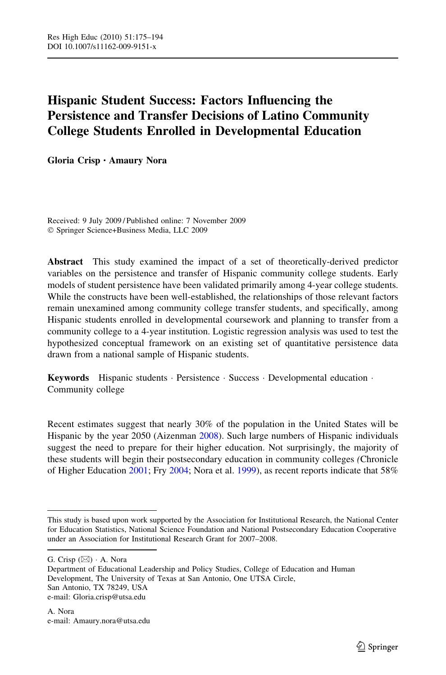# Hispanic Student Success: Factors Influencing the Persistence and Transfer Decisions of Latino Community College Students Enrolled in Developmental Education

Gloria Crisp *•* Amaury Nora

Received: 9 July 2009 / Published online: 7 November 2009 Springer Science+Business Media, LLC 2009

Abstract This study examined the impact of a set of theoretically-derived predictor variables on the persistence and transfer of Hispanic community college students. Early models of student persistence have been validated primarily among 4-year college students. While the constructs have been well-established, the relationships of those relevant factors remain unexamined among community college transfer students, and specifically, among Hispanic students enrolled in developmental coursework and planning to transfer from a community college to a 4-year institution. Logistic regression analysis was used to test the hypothesized conceptual framework on an existing set of quantitative persistence data drawn from a national sample of Hispanic students.

Keywords Hispanic students · Persistence · Success · Developmental education · Community college

Recent estimates suggest that nearly 30% of the population in the United States will be Hispanic by the year 2050 (Aizenman 2008). Such large numbers of Hispanic individuals suggest the need to prepare for their higher education. Not surprisingly, the majority of these students will begin their postsecondary education in community colleges (Chronicle of Higher Education 2001; Fry 2004; Nora et al. 1999), as recent reports indicate that 58%

G. Crisp  $(\boxtimes) \cdot$  A. Nora

Department of Educational Leadership and Policy Studies, College of Education and Human Development, The University of Texas at San Antonio, One UTSA Circle, San Antonio, TX 78249, USA e-mail: Gloria.crisp@utsa.edu

This study is based upon work supported by the Association for Institutional Research, the National Center for Education Statistics, National Science Foundation and National Postsecondary Education Cooperative under an Association for Institutional Research Grant for 2007–2008.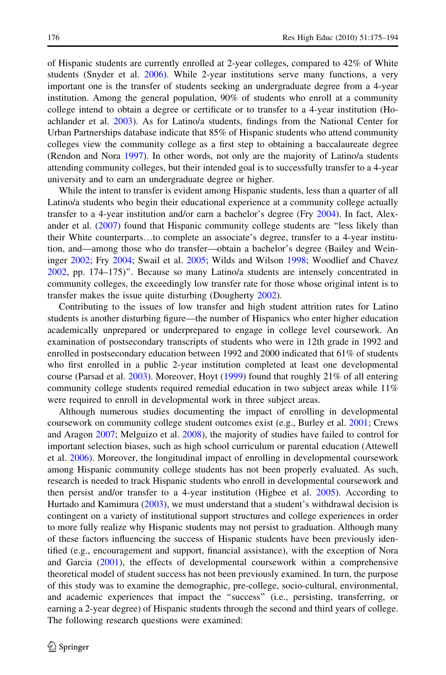of Hispanic students are currently enrolled at 2-year colleges, compared to 42% of White students (Snyder et al. 2006). While 2-year institutions serve many functions, a very important one is the transfer of students seeking an undergraduate degree from a 4-year institution. Among the general population, 90% of students who enroll at a community college intend to obtain a degree or certificate or to transfer to a 4-year institution (Hoachlander et al. 2003). As for Latino/a students, findings from the National Center for Urban Partnerships database indicate that 85% of Hispanic students who attend community colleges view the community college as a first step to obtaining a baccalaureate degree (Rendon and Nora 1997). In other words, not only are the majority of Latino/a students attending community colleges, but their intended goal is to successfully transfer to a 4-year university and to earn an undergraduate degree or higher.

While the intent to transfer is evident among Hispanic students, less than a quarter of all Latino/a students who begin their educational experience at a community college actually transfer to a 4-year institution and/or earn a bachelor's degree (Fry 2004). In fact, Alexander et al. (2007) found that Hispanic community college students are ''less likely than their White counterparts…to complete an associate's degree, transfer to a 4-year institution, and—among those who do transfer—obtain a bachelor's degree (Bailey and Weininger 2002; Fry 2004; Swail et al. 2005; Wilds and Wilson 1998; Woodlief and Chavez 2002, pp. 174–175)''. Because so many Latino/a students are intensely concentrated in community colleges, the exceedingly low transfer rate for those whose original intent is to transfer makes the issue quite disturbing (Dougherty 2002).

Contributing to the issues of low transfer and high student attrition rates for Latino students is another disturbing figure—the number of Hispanics who enter higher education academically unprepared or underprepared to engage in college level coursework. An examination of postsecondary transcripts of students who were in 12th grade in 1992 and enrolled in postsecondary education between 1992 and 2000 indicated that 61% of students who first enrolled in a public 2-year institution completed at least one developmental course (Parsad et al. 2003). Moreover, Hoyt (1999) found that roughly 21% of all entering community college students required remedial education in two subject areas while 11% were required to enroll in developmental work in three subject areas.

Although numerous studies documenting the impact of enrolling in developmental coursework on community college student outcomes exist (e.g., Burley et al. 2001; Crews and Aragon 2007; Melguizo et al. 2008), the majority of studies have failed to control for important selection biases, such as high school curriculum or parental education (Attewell et al. 2006). Moreover, the longitudinal impact of enrolling in developmental coursework among Hispanic community college students has not been properly evaluated. As such, research is needed to track Hispanic students who enroll in developmental coursework and then persist and/or transfer to a 4-year institution (Higbee et al. 2005). According to Hurtado and Kamimura (2003), we must understand that a student's withdrawal decision is contingent on a variety of institutional support structures and college experiences in order to more fully realize why Hispanic students may not persist to graduation. Although many of these factors influencing the success of Hispanic students have been previously identified (e.g., encouragement and support, financial assistance), with the exception of Nora and Garcia (2001), the effects of developmental coursework within a comprehensive theoretical model of student success has not been previously examined. In turn, the purpose of this study was to examine the demographic, pre-college, socio-cultural, environmental, and academic experiences that impact the ''success'' (i.e., persisting, transferring, or earning a 2-year degree) of Hispanic students through the second and third years of college. The following research questions were examined: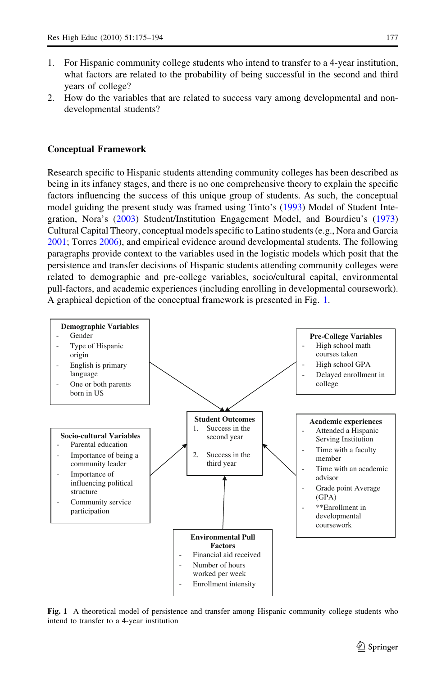- 1. For Hispanic community college students who intend to transfer to a 4-year institution, what factors are related to the probability of being successful in the second and third years of college?
- 2. How do the variables that are related to success vary among developmental and nondevelopmental students?

# Conceptual Framework

Research specific to Hispanic students attending community colleges has been described as being in its infancy stages, and there is no one comprehensive theory to explain the specific factors influencing the success of this unique group of students. As such, the conceptual model guiding the present study was framed using Tinto's (1993) Model of Student Integration, Nora's (2003) Student/Institution Engagement Model, and Bourdieu's (1973) Cultural Capital Theory, conceptual models specific to Latino students (e.g., Nora and Garcia 2001; Torres 2006), and empirical evidence around developmental students. The following paragraphs provide context to the variables used in the logistic models which posit that the persistence and transfer decisions of Hispanic students attending community colleges were related to demographic and pre-college variables, socio/cultural capital, environmental pull-factors, and academic experiences (including enrolling in developmental coursework). A graphical depiction of the conceptual framework is presented in Fig. 1.



Fig. 1 A theoretical model of persistence and transfer among Hispanic community college students who intend to transfer to a 4-year institution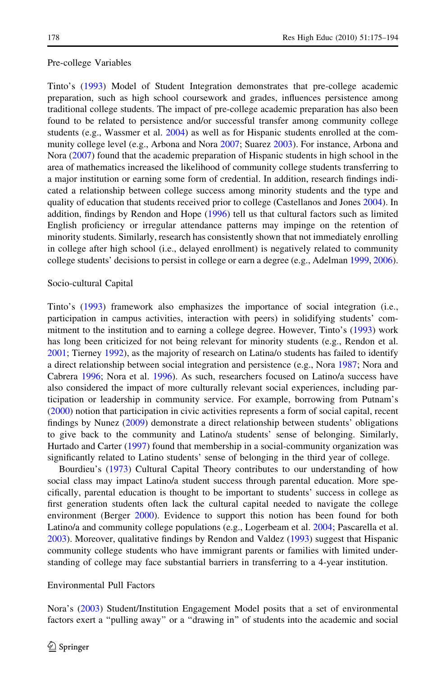## Pre-college Variables

Tinto's (1993) Model of Student Integration demonstrates that pre-college academic preparation, such as high school coursework and grades, influences persistence among traditional college students. The impact of pre-college academic preparation has also been found to be related to persistence and/or successful transfer among community college students (e.g., Wassmer et al. 2004) as well as for Hispanic students enrolled at the community college level (e.g., Arbona and Nora 2007; Suarez 2003). For instance, Arbona and Nora (2007) found that the academic preparation of Hispanic students in high school in the area of mathematics increased the likelihood of community college students transferring to a major institution or earning some form of credential. In addition, research findings indicated a relationship between college success among minority students and the type and quality of education that students received prior to college (Castellanos and Jones 2004). In addition, findings by Rendon and Hope (1996) tell us that cultural factors such as limited English proficiency or irregular attendance patterns may impinge on the retention of minority students. Similarly, research has consistently shown that not immediately enrolling in college after high school (i.e., delayed enrollment) is negatively related to community college students' decisions to persist in college or earn a degree (e.g., Adelman 1999, 2006).

# Socio-cultural Capital

Tinto's (1993) framework also emphasizes the importance of social integration (i.e., participation in campus activities, interaction with peers) in solidifying students' commitment to the institution and to earning a college degree. However, Tinto's (1993) work has long been criticized for not being relevant for minority students (e.g., Rendon et al. 2001; Tierney 1992), as the majority of research on Latina/o students has failed to identify a direct relationship between social integration and persistence (e.g., Nora 1987; Nora and Cabrera 1996; Nora et al. 1996). As such, researchers focused on Latino/a success have also considered the impact of more culturally relevant social experiences, including participation or leadership in community service. For example, borrowing from Putnam's (2000) notion that participation in civic activities represents a form of social capital, recent findings by Nunez (2009) demonstrate a direct relationship between students' obligations to give back to the community and Latino/a students' sense of belonging. Similarly, Hurtado and Carter (1997) found that membership in a social-community organization was significantly related to Latino students' sense of belonging in the third year of college.

Bourdieu's (1973) Cultural Capital Theory contributes to our understanding of how social class may impact Latino/a student success through parental education. More specifically, parental education is thought to be important to students' success in college as first generation students often lack the cultural capital needed to navigate the college environment (Berger 2000). Evidence to support this notion has been found for both Latino/a and community college populations (e.g., Logerbeam et al. 2004; Pascarella et al. 2003). Moreover, qualitative findings by Rendon and Valdez (1993) suggest that Hispanic community college students who have immigrant parents or families with limited understanding of college may face substantial barriers in transferring to a 4-year institution.

## Environmental Pull Factors

Nora's (2003) Student/Institution Engagement Model posits that a set of environmental factors exert a ''pulling away'' or a ''drawing in'' of students into the academic and social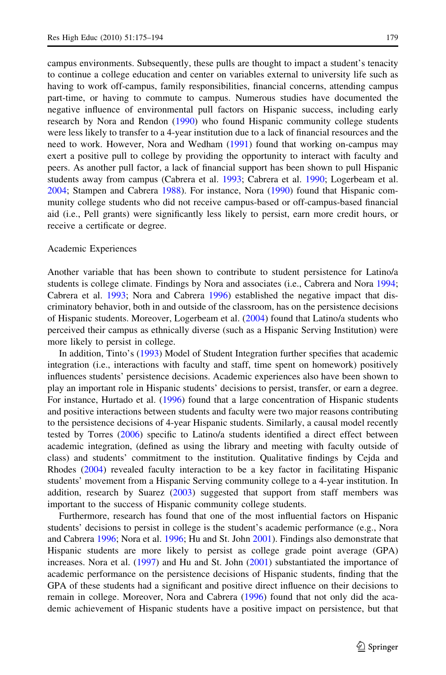campus environments. Subsequently, these pulls are thought to impact a student's tenacity to continue a college education and center on variables external to university life such as having to work off-campus, family responsibilities, financial concerns, attending campus part-time, or having to commute to campus. Numerous studies have documented the negative influence of environmental pull factors on Hispanic success, including early research by Nora and Rendon (1990) who found Hispanic community college students were less likely to transfer to a 4-year institution due to a lack of financial resources and the need to work. However, Nora and Wedham (1991) found that working on-campus may exert a positive pull to college by providing the opportunity to interact with faculty and peers. As another pull factor, a lack of financial support has been shown to pull Hispanic students away from campus (Cabrera et al. 1993; Cabrera et al. 1990; Logerbeam et al. 2004; Stampen and Cabrera 1988). For instance, Nora (1990) found that Hispanic community college students who did not receive campus-based or off-campus-based financial aid (i.e., Pell grants) were significantly less likely to persist, earn more credit hours, or receive a certificate or degree.

#### Academic Experiences

Another variable that has been shown to contribute to student persistence for Latino/a students is college climate. Findings by Nora and associates (i.e., Cabrera and Nora 1994; Cabrera et al. 1993; Nora and Cabrera 1996) established the negative impact that discriminatory behavior, both in and outside of the classroom, has on the persistence decisions of Hispanic students. Moreover, Logerbeam et al. (2004) found that Latino/a students who perceived their campus as ethnically diverse (such as a Hispanic Serving Institution) were more likely to persist in college.

In addition, Tinto's (1993) Model of Student Integration further specifies that academic integration (i.e., interactions with faculty and staff, time spent on homework) positively influences students' persistence decisions. Academic experiences also have been shown to play an important role in Hispanic students' decisions to persist, transfer, or earn a degree. For instance, Hurtado et al. (1996) found that a large concentration of Hispanic students and positive interactions between students and faculty were two major reasons contributing to the persistence decisions of 4-year Hispanic students. Similarly, a causal model recently tested by Torres (2006) specific to Latino/a students identified a direct effect between academic integration, (defined as using the library and meeting with faculty outside of class) and students' commitment to the institution. Qualitative findings by Cejda and Rhodes (2004) revealed faculty interaction to be a key factor in facilitating Hispanic students' movement from a Hispanic Serving community college to a 4-year institution. In addition, research by Suarez (2003) suggested that support from staff members was important to the success of Hispanic community college students.

Furthermore, research has found that one of the most influential factors on Hispanic students' decisions to persist in college is the student's academic performance (e.g., Nora and Cabrera 1996; Nora et al. 1996; Hu and St. John 2001). Findings also demonstrate that Hispanic students are more likely to persist as college grade point average (GPA) increases. Nora et al. (1997) and Hu and St. John (2001) substantiated the importance of academic performance on the persistence decisions of Hispanic students, finding that the GPA of these students had a significant and positive direct influence on their decisions to remain in college. Moreover, Nora and Cabrera (1996) found that not only did the academic achievement of Hispanic students have a positive impact on persistence, but that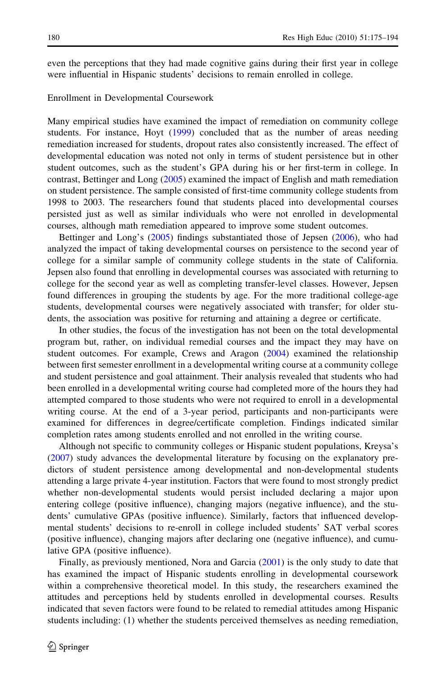even the perceptions that they had made cognitive gains during their first year in college were influential in Hispanic students' decisions to remain enrolled in college.

#### Enrollment in Developmental Coursework

Many empirical studies have examined the impact of remediation on community college students. For instance, Hoyt (1999) concluded that as the number of areas needing remediation increased for students, dropout rates also consistently increased. The effect of developmental education was noted not only in terms of student persistence but in other student outcomes, such as the student's GPA during his or her first-term in college. In contrast, Bettinger and Long (2005) examined the impact of English and math remediation on student persistence. The sample consisted of first-time community college students from 1998 to 2003. The researchers found that students placed into developmental courses persisted just as well as similar individuals who were not enrolled in developmental courses, although math remediation appeared to improve some student outcomes.

Bettinger and Long's (2005) findings substantiated those of Jepsen (2006), who had analyzed the impact of taking developmental courses on persistence to the second year of college for a similar sample of community college students in the state of California. Jepsen also found that enrolling in developmental courses was associated with returning to college for the second year as well as completing transfer-level classes. However, Jepsen found differences in grouping the students by age. For the more traditional college-age students, developmental courses were negatively associated with transfer; for older students, the association was positive for returning and attaining a degree or certificate.

In other studies, the focus of the investigation has not been on the total developmental program but, rather, on individual remedial courses and the impact they may have on student outcomes. For example, Crews and Aragon (2004) examined the relationship between first semester enrollment in a developmental writing course at a community college and student persistence and goal attainment. Their analysis revealed that students who had been enrolled in a developmental writing course had completed more of the hours they had attempted compared to those students who were not required to enroll in a developmental writing course. At the end of a 3-year period, participants and non-participants were examined for differences in degree/certificate completion. Findings indicated similar completion rates among students enrolled and not enrolled in the writing course.

Although not specific to community colleges or Hispanic student populations, Kreysa's (2007) study advances the developmental literature by focusing on the explanatory predictors of student persistence among developmental and non-developmental students attending a large private 4-year institution. Factors that were found to most strongly predict whether non-developmental students would persist included declaring a major upon entering college (positive influence), changing majors (negative influence), and the students' cumulative GPAs (positive influence). Similarly, factors that influenced developmental students' decisions to re-enroll in college included students' SAT verbal scores (positive influence), changing majors after declaring one (negative influence), and cumulative GPA (positive influence).

Finally, as previously mentioned, Nora and Garcia (2001) is the only study to date that has examined the impact of Hispanic students enrolling in developmental coursework within a comprehensive theoretical model. In this study, the researchers examined the attitudes and perceptions held by students enrolled in developmental courses. Results indicated that seven factors were found to be related to remedial attitudes among Hispanic students including: (1) whether the students perceived themselves as needing remediation,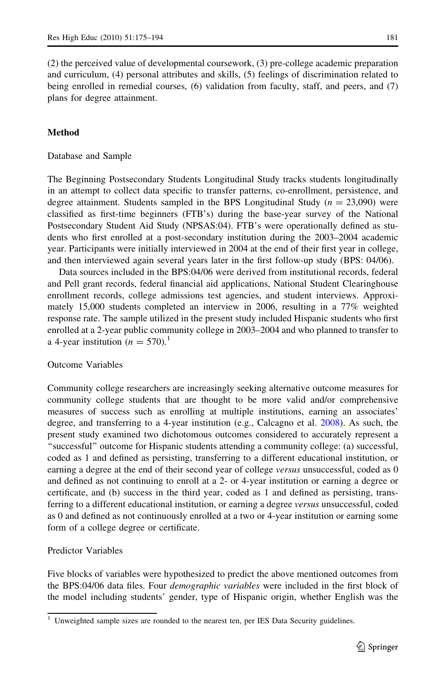(2) the perceived value of developmental coursework, (3) pre-college academic preparation and curriculum, (4) personal attributes and skills, (5) feelings of discrimination related to being enrolled in remedial courses, (6) validation from faculty, staff, and peers, and (7) plans for degree attainment.

# Method

## Database and Sample

The Beginning Postsecondary Students Longitudinal Study tracks students longitudinally in an attempt to collect data specific to transfer patterns, co-enrollment, persistence, and degree attainment. Students sampled in the BPS Longitudinal Study ( $n = 23,090$ ) were classified as first-time beginners (FTB's) during the base-year survey of the National Postsecondary Student Aid Study (NPSAS:04). FTB's were operationally defined as students who first enrolled at a post-secondary institution during the 2003–2004 academic year. Participants were initially interviewed in 2004 at the end of their first year in college, and then interviewed again several years later in the first follow-up study (BPS: 04/06).

Data sources included in the BPS:04/06 were derived from institutional records, federal and Pell grant records, federal financial aid applications, National Student Clearinghouse enrollment records, college admissions test agencies, and student interviews. Approximately 15,000 students completed an interview in 2006, resulting in a 77% weighted response rate. The sample utilized in the present study included Hispanic students who first enrolled at a 2-year public community college in 2003–2004 and who planned to transfer to a 4-year institution ( $n = 570$ ).<sup>1</sup>

# Outcome Variables

Community college researchers are increasingly seeking alternative outcome measures for community college students that are thought to be more valid and/or comprehensive measures of success such as enrolling at multiple institutions, earning an associates' degree, and transferring to a 4-year institution (e.g., Calcagno et al. 2008). As such, the present study examined two dichotomous outcomes considered to accurately represent a ''successful'' outcome for Hispanic students attending a community college: (a) successful, coded as 1 and defined as persisting, transferring to a different educational institution, or earning a degree at the end of their second year of college *versus* unsuccessful, coded as 0 and defined as not continuing to enroll at a 2- or 4-year institution or earning a degree or certificate, and (b) success in the third year, coded as 1 and defined as persisting, transferring to a different educational institution, or earning a degree versus unsuccessful, coded as 0 and defined as not continuously enrolled at a two or 4-year institution or earning some form of a college degree or certificate.

# Predictor Variables

Five blocks of variables were hypothesized to predict the above mentioned outcomes from the BPS:04/06 data files. Four *demographic variables* were included in the first block of the model including students' gender, type of Hispanic origin, whether English was the

<sup>&</sup>lt;sup>1</sup> Unweighted sample sizes are rounded to the nearest ten, per IES Data Security guidelines.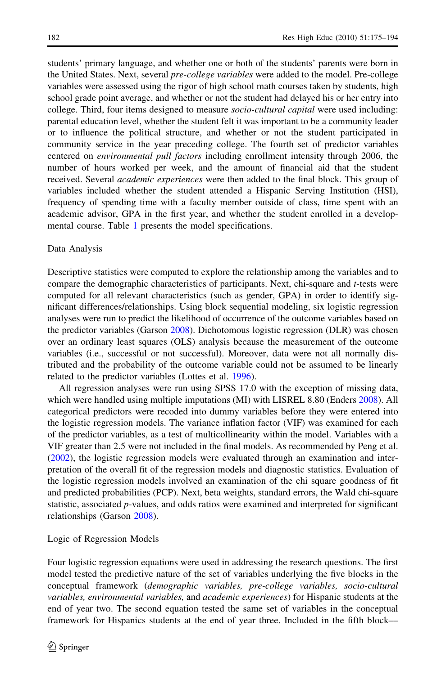students' primary language, and whether one or both of the students' parents were born in the United States. Next, several *pre-college variables* were added to the model. Pre-college variables were assessed using the rigor of high school math courses taken by students, high school grade point average, and whether or not the student had delayed his or her entry into college. Third, four items designed to measure *socio-cultural capital* were used including: parental education level, whether the student felt it was important to be a community leader or to influence the political structure, and whether or not the student participated in community service in the year preceding college. The fourth set of predictor variables centered on environmental pull factors including enrollment intensity through 2006, the number of hours worked per week, and the amount of financial aid that the student received. Several *academic experiences* were then added to the final block. This group of variables included whether the student attended a Hispanic Serving Institution (HSI), frequency of spending time with a faculty member outside of class, time spent with an academic advisor, GPA in the first year, and whether the student enrolled in a developmental course. Table 1 presents the model specifications.

#### Data Analysis

Descriptive statistics were computed to explore the relationship among the variables and to compare the demographic characteristics of participants. Next, chi-square and t-tests were computed for all relevant characteristics (such as gender, GPA) in order to identify significant differences/relationships. Using block sequential modeling, six logistic regression analyses were run to predict the likelihood of occurrence of the outcome variables based on the predictor variables (Garson 2008). Dichotomous logistic regression (DLR) was chosen over an ordinary least squares (OLS) analysis because the measurement of the outcome variables (i.e., successful or not successful). Moreover, data were not all normally distributed and the probability of the outcome variable could not be assumed to be linearly related to the predictor variables (Lottes et al. 1996).

All regression analyses were run using SPSS 17.0 with the exception of missing data, which were handled using multiple imputations (MI) with LISREL 8.80 (Enders 2008). All categorical predictors were recoded into dummy variables before they were entered into the logistic regression models. The variance inflation factor (VIF) was examined for each of the predictor variables, as a test of multicollinearity within the model. Variables with a VIF greater than 2.5 were not included in the final models. As recommended by Peng et al. (2002), the logistic regression models were evaluated through an examination and interpretation of the overall fit of the regression models and diagnostic statistics. Evaluation of the logistic regression models involved an examination of the chi square goodness of fit and predicted probabilities (PCP). Next, beta weights, standard errors, the Wald chi-square statistic, associated *p*-values, and odds ratios were examined and interpreted for significant relationships (Garson 2008).

#### Logic of Regression Models

Four logistic regression equations were used in addressing the research questions. The first model tested the predictive nature of the set of variables underlying the five blocks in the conceptual framework (demographic variables, pre-college variables, socio-cultural variables, environmental variables, and academic experiences) for Hispanic students at the end of year two. The second equation tested the same set of variables in the conceptual framework for Hispanics students at the end of year three. Included in the fifth block––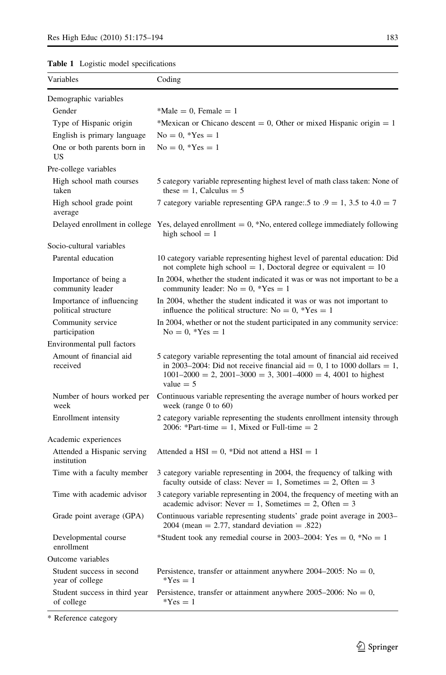|  |  |  | <b>Table 1</b> Logistic model specifications |
|--|--|--|----------------------------------------------|
|--|--|--|----------------------------------------------|

| Variables                                        | Coding                                                                                                                                                                                                                                                 |
|--------------------------------------------------|--------------------------------------------------------------------------------------------------------------------------------------------------------------------------------------------------------------------------------------------------------|
| Demographic variables                            |                                                                                                                                                                                                                                                        |
| Gender                                           | $*$ Male = 0, Female = 1                                                                                                                                                                                                                               |
| Type of Hispanic origin                          | *Mexican or Chicano descent = 0, Other or mixed Hispanic origin = 1                                                                                                                                                                                    |
| English is primary language                      | $No = 0, *Yes = 1$                                                                                                                                                                                                                                     |
| One or both parents born in<br>US                | $No = 0, *Yes = 1$                                                                                                                                                                                                                                     |
| Pre-college variables                            |                                                                                                                                                                                                                                                        |
| High school math courses<br>taken                | 5 category variable representing highest level of math class taken: None of<br>these $= 1$ , Calculus $= 5$                                                                                                                                            |
| High school grade point<br>average               | 7 category variable representing GPA range: 5 to $.9 = 1, 3.5$ to $4.0 = 7$                                                                                                                                                                            |
|                                                  | Delayed enrollment in college Yes, delayed enrollment $= 0$ , *No, entered college immediately following<br>high school $= 1$                                                                                                                          |
| Socio-cultural variables                         |                                                                                                                                                                                                                                                        |
| Parental education                               | 10 category variable representing highest level of parental education: Did<br>not complete high school = 1, Doctoral degree or equivalent = $10$                                                                                                       |
| Importance of being a<br>community leader        | In 2004, whether the student indicated it was or was not important to be a<br>community leader: $No = 0$ , *Yes = 1                                                                                                                                    |
| Importance of influencing<br>political structure | In 2004, whether the student indicated it was or was not important to<br>influence the political structure: $No = 0$ , *Yes = 1                                                                                                                        |
| Community service<br>participation               | In 2004, whether or not the student participated in any community service:<br>$No = 0, *Yes = 1$                                                                                                                                                       |
| Environmental pull factors                       |                                                                                                                                                                                                                                                        |
| Amount of financial aid<br>received              | 5 category variable representing the total amount of financial aid received<br>in 2003–2004: Did not receive financial aid $= 0$ , 1 to 1000 dollars $= 1$ ,<br>$1001-2000 = 2$ , $2001-3000 = 3$ , $3001-4000 = 4$ , $4001$ to highest<br>value $= 5$ |
| Number of hours worked per<br>week               | Continuous variable representing the average number of hours worked per<br>week (range $0$ to $60$ )                                                                                                                                                   |
| Enrollment intensity                             | 2 category variable representing the students enrollment intensity through<br>2006: *Part-time = 1, Mixed or Full-time = 2                                                                                                                             |
| Academic experiences                             |                                                                                                                                                                                                                                                        |
| Attended a Hispanic serving<br>institution       | Attended a $HSI = 0$ , *Did not attend a $HSI = 1$                                                                                                                                                                                                     |
| Time with a faculty member                       | 3 category variable representing in 2004, the frequency of talking with<br>faculty outside of class: Never = 1, Sometimes = 2, Often = 3                                                                                                               |
| Time with academic advisor                       | 3 category variable representing in 2004, the frequency of meeting with an<br>academic advisor: Never = 1, Sometimes = 2, Often = 3                                                                                                                    |
| Grade point average (GPA)                        | Continuous variable representing students' grade point average in 2003-<br>$2004$ (mean = 2.77, standard deviation = .822)                                                                                                                             |
| Developmental course<br>enrollment               | *Student took any remedial course in 2003–2004: Yes = 0, *No = 1                                                                                                                                                                                       |
| Outcome variables                                |                                                                                                                                                                                                                                                        |
| Student success in second<br>year of college     | Persistence, transfer or attainment anywhere 2004–2005: No = 0,<br>$*Yes = 1$                                                                                                                                                                          |
| Student success in third year<br>of college      | Persistence, transfer or attainment anywhere 2005–2006: No = 0,<br>$*Yes = 1$                                                                                                                                                                          |

\* Reference category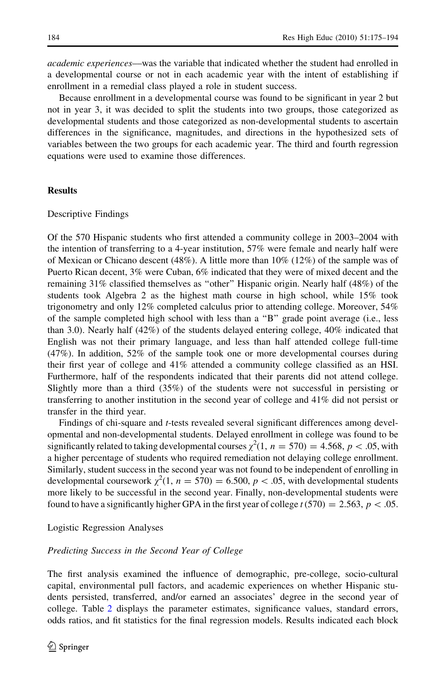academic experiences––was the variable that indicated whether the student had enrolled in a developmental course or not in each academic year with the intent of establishing if enrollment in a remedial class played a role in student success.

Because enrollment in a developmental course was found to be significant in year 2 but not in year 3, it was decided to split the students into two groups, those categorized as developmental students and those categorized as non-developmental students to ascertain differences in the significance, magnitudes, and directions in the hypothesized sets of variables between the two groups for each academic year. The third and fourth regression equations were used to examine those differences.

# **Results**

# Descriptive Findings

Of the 570 Hispanic students who first attended a community college in 2003–2004 with the intention of transferring to a 4-year institution, 57% were female and nearly half were of Mexican or Chicano descent (48%). A little more than  $10\%$  (12%) of the sample was of Puerto Rican decent, 3% were Cuban, 6% indicated that they were of mixed decent and the remaining 31% classified themselves as ''other'' Hispanic origin. Nearly half (48%) of the students took Algebra 2 as the highest math course in high school, while 15% took trigonometry and only 12% completed calculus prior to attending college. Moreover, 54% of the sample completed high school with less than a ''B'' grade point average (i.e., less than 3.0). Nearly half (42%) of the students delayed entering college, 40% indicated that English was not their primary language, and less than half attended college full-time (47%). In addition, 52% of the sample took one or more developmental courses during their first year of college and 41% attended a community college classified as an HSI. Furthermore, half of the respondents indicated that their parents did not attend college. Slightly more than a third (35%) of the students were not successful in persisting or transferring to another institution in the second year of college and 41% did not persist or transfer in the third year.

Findings of chi-square and t-tests revealed several significant differences among developmental and non-developmental students. Delayed enrollment in college was found to be significantly related to taking developmental courses  $\chi^2(1, n = 570) = 4.568$ ,  $p < .05$ , with a higher percentage of students who required remediation not delaying college enrollment. Similarly, student success in the second year was not found to be independent of enrolling in developmental coursework  $\chi^2(1, n = 570) = 6.500, p < .05$ , with developmental students more likely to be successful in the second year. Finally, non-developmental students were found to have a significantly higher GPA in the first year of college  $t(570) = 2.563$ ,  $p < .05$ .

#### Logistic Regression Analyses

# Predicting Success in the Second Year of College

The first analysis examined the influence of demographic, pre-college, socio-cultural capital, environmental pull factors, and academic experiences on whether Hispanic students persisted, transferred, and/or earned an associates' degree in the second year of college. Table 2 displays the parameter estimates, significance values, standard errors, odds ratios, and fit statistics for the final regression models. Results indicated each block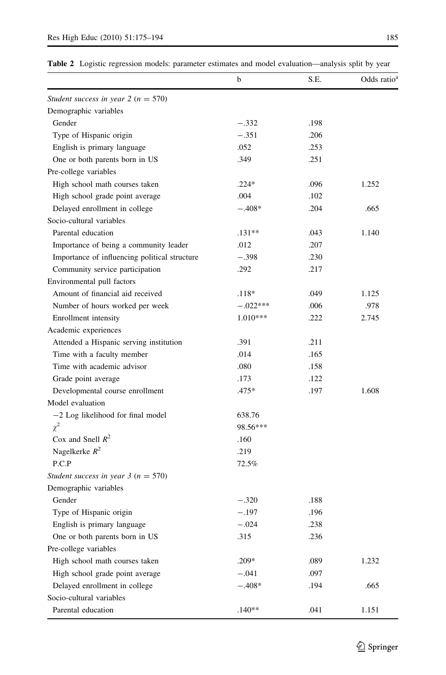|                                               | b          | S.E. | Odds ratio <sup>a</sup> |
|-----------------------------------------------|------------|------|-------------------------|
| Student success in year 2 ( $n = 570$ )       |            |      |                         |
| Demographic variables                         |            |      |                         |
| Gender                                        | $-.332$    | .198 |                         |
| Type of Hispanic origin                       | $-.351$    | .206 |                         |
| English is primary language                   | .052       | .253 |                         |
| One or both parents born in US                | .349       | .251 |                         |
| Pre-college variables                         |            |      |                         |
| High school math courses taken                | $.224*$    | .096 | 1.252                   |
| High school grade point average               | .004       | .102 |                         |
| Delayed enrollment in college                 | $-.408*$   | .204 | .665                    |
| Socio-cultural variables                      |            |      |                         |
| Parental education                            | $.131**$   | .043 | 1.140                   |
| Importance of being a community leader        | .012       | .207 |                         |
| Importance of influencing political structure | $-.398$    | .230 |                         |
| Community service participation               | .292       | .217 |                         |
| Environmental pull factors                    |            |      |                         |
| Amount of financial aid received              | $.118*$    | .049 | 1.125                   |
| Number of hours worked per week               | $-.022***$ | .006 | .978                    |
| Enrollment intensity                          | $1.010***$ | .222 | 2.745                   |
| Academic experiences                          |            |      |                         |
| Attended a Hispanic serving institution       | .391       | .211 |                         |
| Time with a faculty member                    | .014       | .165 |                         |
| Time with academic advisor                    | .080       | .158 |                         |
| Grade point average                           | .173       | .122 |                         |
| Developmental course enrollment               | $.475*$    | .197 | 1.608                   |
| Model evaluation                              |            |      |                         |
| $-2$ Log likelihood for final model           | 638.76     |      |                         |
| $\chi^2$                                      | 98.56***   |      |                         |
| Cox and Snell $R^2$                           | .160       |      |                         |
| Nagelkerke $R^2$                              | .219       |      |                         |
| P.C.P                                         | 72.5%      |      |                         |
| Student success in year $3 (n = 570)$         |            |      |                         |
| Demographic variables                         |            |      |                         |
| Gender                                        | $-.320$    | .188 |                         |
| Type of Hispanic origin                       | $-.197$    | .196 |                         |
| English is primary language                   | $-.024$    | .238 |                         |
| One or both parents born in US                | .315       | .236 |                         |
| Pre-college variables                         |            |      |                         |
| High school math courses taken                | $.209*$    | .089 | 1.232                   |
| High school grade point average               | $-.041$    | .097 |                         |
| Delayed enrollment in college                 | $-.408*$   | .194 | .665                    |
| Socio-cultural variables                      |            |      |                         |
| Parental education                            | $.140**$   | .041 | 1.151                   |

Table 2 Logistic regression models: parameter estimates and model evaluation—analysis split by year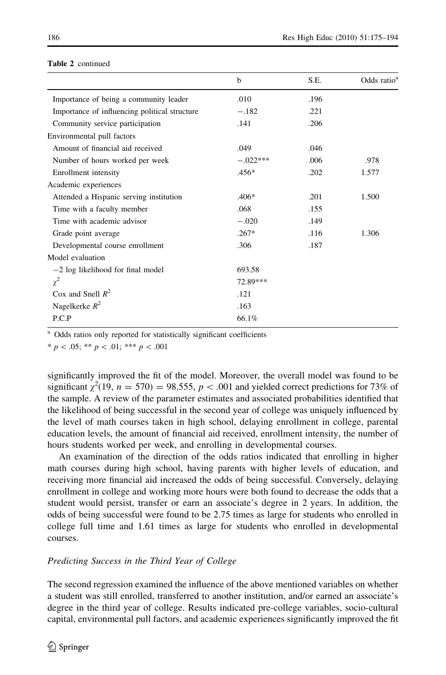|                                               | h          | S.E. | Odds ratio <sup>a</sup> |
|-----------------------------------------------|------------|------|-------------------------|
| Importance of being a community leader        | .010       | .196 |                         |
| Importance of influencing political structure | $-.182$    | .221 |                         |
| Community service participation               | .141       | .206 |                         |
| Environmental pull factors                    |            |      |                         |
| Amount of financial aid received              | .049       | .046 |                         |
| Number of hours worked per week               | $-.022***$ | .006 | .978                    |
| Enrollment intensity                          | $.456*$    | .202 | 1.577                   |
| Academic experiences                          |            |      |                         |
| Attended a Hispanic serving institution       | $.406*$    | .201 | 1.500                   |
| Time with a faculty member                    | .068       | .155 |                         |
| Time with academic advisor                    | $-.020$    | .149 |                         |
| Grade point average                           | $.267*$    | .116 | 1.306                   |
| Developmental course enrollment               | .306       | .187 |                         |
| Model evaluation                              |            |      |                         |
| $-2$ log likelihood for final model           | 693.58     |      |                         |
| $\chi^2$                                      | 72.89***   |      |                         |
| Cox and Snell $R^2$                           | .121       |      |                         |
| Nagelkerke $R^2$                              | .163       |      |                         |
| P.C.P                                         | 66.1%      |      |                         |

# Table 2 continued

<sup>a</sup> Odds ratios only reported for statistically significant coefficients

 $* p < .05; ** p < .01; ** * p < .001$ 

significantly improved the fit of the model. Moreover, the overall model was found to be significant  $\chi^2(19, n = 570) = 98.555, p < .001$  and yielded correct predictions for 73% of the sample. A review of the parameter estimates and associated probabilities identified that the likelihood of being successful in the second year of college was uniquely influenced by the level of math courses taken in high school, delaying enrollment in college, parental education levels, the amount of financial aid received, enrollment intensity, the number of hours students worked per week, and enrolling in developmental courses.

An examination of the direction of the odds ratios indicated that enrolling in higher math courses during high school, having parents with higher levels of education, and receiving more financial aid increased the odds of being successful. Conversely, delaying enrollment in college and working more hours were both found to decrease the odds that a student would persist, transfer or earn an associate's degree in 2 years. In addition, the odds of being successful were found to be 2.75 times as large for students who enrolled in college full time and 1.61 times as large for students who enrolled in developmental courses.

# Predicting Success in the Third Year of College

The second regression examined the influence of the above mentioned variables on whether a student was still enrolled, transferred to another institution, and/or earned an associate's degree in the third year of college. Results indicated pre-college variables, socio-cultural capital, environmental pull factors, and academic experiences significantly improved the fit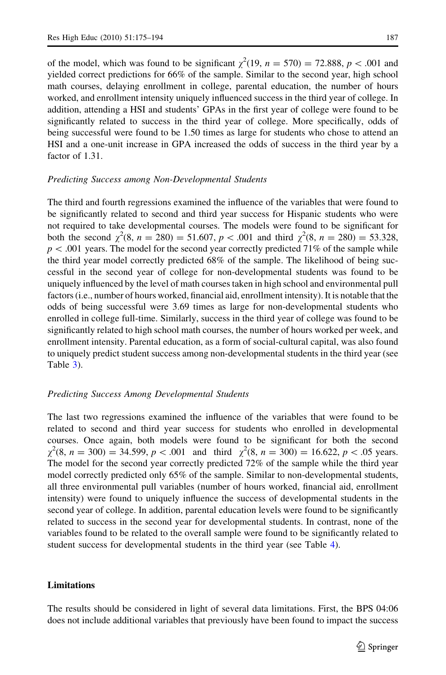of the model, which was found to be significant  $\chi^2(19, n = 570) = 72.888$ ,  $p < .001$  and yielded correct predictions for 66% of the sample. Similar to the second year, high school math courses, delaying enrollment in college, parental education, the number of hours worked, and enrollment intensity uniquely influenced success in the third year of college. In addition, attending a HSI and students' GPAs in the first year of college were found to be significantly related to success in the third year of college. More specifically, odds of being successful were found to be 1.50 times as large for students who chose to attend an HSI and a one-unit increase in GPA increased the odds of success in the third year by a factor of 1.31.

#### Predicting Success among Non-Developmental Students

The third and fourth regressions examined the influence of the variables that were found to be significantly related to second and third year success for Hispanic students who were not required to take developmental courses. The models were found to be significant for both the second  $\chi^2(8, n = 280) = 51.607, p < .001$  and third  $\chi^2(8, n = 280) = 53.328$ ,  $p$  < .001 years. The model for the second year correctly predicted 71% of the sample while the third year model correctly predicted 68% of the sample. The likelihood of being successful in the second year of college for non-developmental students was found to be uniquely influenced by the level of math courses taken in high school and environmental pull factors (i.e., number of hours worked, financial aid, enrollment intensity). It is notable that the odds of being successful were 3.69 times as large for non-developmental students who enrolled in college full-time. Similarly, success in the third year of college was found to be significantly related to high school math courses, the number of hours worked per week, and enrollment intensity. Parental education, as a form of social-cultural capital, was also found to uniquely predict student success among non-developmental students in the third year (see Table 3).

# Predicting Success Among Developmental Students

The last two regressions examined the influence of the variables that were found to be related to second and third year success for students who enrolled in developmental courses. Once again, both models were found to be significant for both the second  $\chi^2(8, n = 300) = 34.599, p < .001$  and third  $\chi^2(8, n = 300) = 16.622, p < .05$  years. The model for the second year correctly predicted 72% of the sample while the third year model correctly predicted only 65% of the sample. Similar to non-developmental students, all three environmental pull variables (number of hours worked, financial aid, enrollment intensity) were found to uniquely influence the success of developmental students in the second year of college. In addition, parental education levels were found to be significantly related to success in the second year for developmental students. In contrast, none of the variables found to be related to the overall sample were found to be significantly related to student success for developmental students in the third year (see Table 4).

# **Limitations**

The results should be considered in light of several data limitations. First, the BPS 04:06 does not include additional variables that previously have been found to impact the success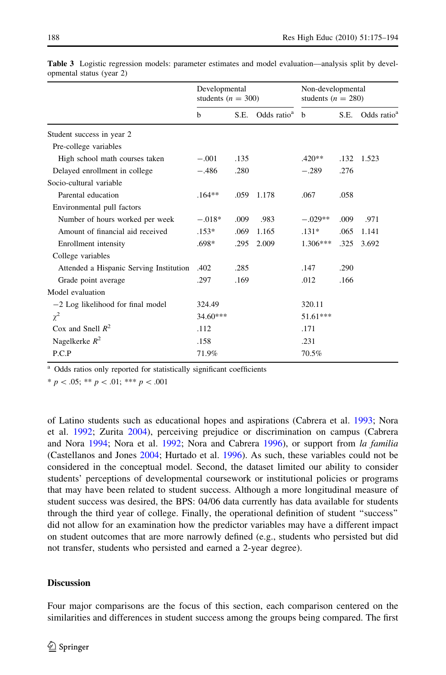|                                         | Developmental<br>students ( $n = 300$ ) |      |                         | Non-developmental<br>students ( $n = 280$ ) |      |                         |
|-----------------------------------------|-----------------------------------------|------|-------------------------|---------------------------------------------|------|-------------------------|
|                                         | $\mathbf b$                             | S.E. | Odds ratio <sup>a</sup> | $\mathbf b$                                 | S.E. | Odds ratio <sup>a</sup> |
| Student success in year 2               |                                         |      |                         |                                             |      |                         |
| Pre-college variables                   |                                         |      |                         |                                             |      |                         |
| High school math courses taken          | $-.001$                                 | .135 |                         | $.420**$                                    | .132 | 1.523                   |
| Delayed enrollment in college           | $-.486$                                 | .280 |                         | $-.289$                                     | .276 |                         |
| Socio-cultural variable                 |                                         |      |                         |                                             |      |                         |
| Parental education                      | $.164**$                                | .059 | 1.178                   | .067                                        | .058 |                         |
| Environmental pull factors              |                                         |      |                         |                                             |      |                         |
| Number of hours worked per week         | $-.018*$                                | .009 | .983                    | $-.029**$                                   | .009 | .971                    |
| Amount of financial aid received        | $.153*$                                 | .069 | 1.165                   | $.131*$                                     | .065 | 1.141                   |
| Enrollment intensity                    | .698*                                   | .295 | 2.009                   | $1.306***$                                  | .325 | 3.692                   |
| College variables                       |                                         |      |                         |                                             |      |                         |
| Attended a Hispanic Serving Institution | .402                                    | .285 |                         | .147                                        | .290 |                         |
| Grade point average                     | .297                                    | .169 |                         | .012                                        | .166 |                         |
| Model evaluation                        |                                         |      |                         |                                             |      |                         |
| $-2$ Log likelihood for final model     | 324.49                                  |      |                         | 320.11                                      |      |                         |
| $\chi^2$                                | 34.60***                                |      |                         | 51.61***                                    |      |                         |
| Cox and Snell $R^2$                     | .112                                    |      |                         | .171                                        |      |                         |
| Nagelkerke $R^2$                        | .158                                    |      |                         | .231                                        |      |                         |
| P.C.P                                   | 71.9%                                   |      |                         | 70.5%                                       |      |                         |

| <b>Table 3</b> Logistic regression models: parameter estimates and model evaluation—analysis split by devel- |  |  |  |
|--------------------------------------------------------------------------------------------------------------|--|--|--|
| opmental status (year 2)                                                                                     |  |  |  |

<sup>a</sup> Odds ratios only reported for statistically significant coefficients

 $* p < .05; ** p < .01; ** * p < .001$ 

of Latino students such as educational hopes and aspirations (Cabrera et al. 1993; Nora et al. 1992; Zurita 2004), perceiving prejudice or discrimination on campus (Cabrera and Nora 1994; Nora et al. 1992; Nora and Cabrera 1996), or support from la familia (Castellanos and Jones 2004; Hurtado et al. 1996). As such, these variables could not be considered in the conceptual model. Second, the dataset limited our ability to consider students' perceptions of developmental coursework or institutional policies or programs that may have been related to student success. Although a more longitudinal measure of student success was desired, the BPS: 04/06 data currently has data available for students through the third year of college. Finally, the operational definition of student ''success'' did not allow for an examination how the predictor variables may have a different impact on student outcomes that are more narrowly defined (e.g., students who persisted but did not transfer, students who persisted and earned a 2-year degree).

## **Discussion**

Four major comparisons are the focus of this section, each comparison centered on the similarities and differences in student success among the groups being compared. The first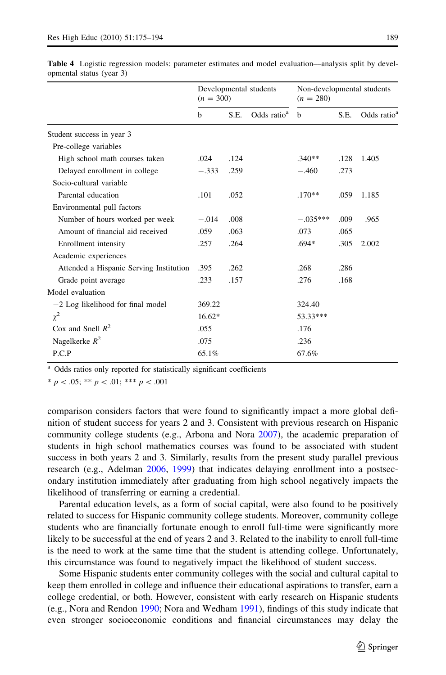|                                         | Developmental students<br>$(n = 300)$ |      |                         | Non-developmental students<br>$(n = 280)$ |       |                         |
|-----------------------------------------|---------------------------------------|------|-------------------------|-------------------------------------------|-------|-------------------------|
|                                         | b                                     | S.E. | Odds ratio <sup>a</sup> | $\mathbf b$                               | S.E.  | Odds ratio <sup>a</sup> |
| Student success in year 3               |                                       |      |                         |                                           |       |                         |
| Pre-college variables                   |                                       |      |                         |                                           |       |                         |
| High school math courses taken          | .024                                  | .124 |                         | $.340**$                                  | .128  | 1.405                   |
| Delayed enrollment in college           | $-.333$                               | .259 |                         | $-.460$                                   | .273  |                         |
| Socio-cultural variable                 |                                       |      |                         |                                           |       |                         |
| Parental education                      | .052<br>.101                          |      | $.170**$                | .059                                      | 1.185 |                         |
| Environmental pull factors              |                                       |      |                         |                                           |       |                         |
| Number of hours worked per week         | $-.014$                               | .008 |                         | $-.035***$                                | .009  | .965                    |
| Amount of financial aid received        | .059                                  | .063 |                         | .073                                      | .065  |                         |
| Enrollment intensity                    | .257                                  | .264 |                         | $.694*$                                   | .305  | 2.002                   |
| Academic experiences                    |                                       |      |                         |                                           |       |                         |
| Attended a Hispanic Serving Institution | .395                                  | .262 |                         | .268                                      | .286  |                         |
| Grade point average                     | .233                                  | .157 |                         | .276                                      | .168  |                         |
| Model evaluation                        |                                       |      |                         |                                           |       |                         |
| $-2$ Log likelihood for final model     | 369.22                                |      |                         | 324.40                                    |       |                         |
| $\chi^2$                                | $16.62*$                              |      | 53.33***                |                                           |       |                         |
| Cox and Snell $R^2$                     | .055                                  |      |                         | .176                                      |       |                         |
| Nagelkerke $R^2$                        | .075                                  |      |                         | .236                                      |       |                         |
| P.C.P                                   | 65.1%                                 |      | 67.6%                   |                                           |       |                         |

| <b>Table 4</b> Logistic regression models: parameter estimates and model evaluation—analysis split by devel- |  |  |  |
|--------------------------------------------------------------------------------------------------------------|--|--|--|
| opmental status (year 3)                                                                                     |  |  |  |

<sup>a</sup> Odds ratios only reported for statistically significant coefficients

 $* p < .05; ** p < .01; ** * p < .001$ 

comparison considers factors that were found to significantly impact a more global definition of student success for years 2 and 3. Consistent with previous research on Hispanic community college students (e.g., Arbona and Nora 2007), the academic preparation of students in high school mathematics courses was found to be associated with student success in both years 2 and 3. Similarly, results from the present study parallel previous research (e.g., Adelman 2006, 1999) that indicates delaying enrollment into a postsecondary institution immediately after graduating from high school negatively impacts the likelihood of transferring or earning a credential.

Parental education levels, as a form of social capital, were also found to be positively related to success for Hispanic community college students. Moreover, community college students who are financially fortunate enough to enroll full-time were significantly more likely to be successful at the end of years 2 and 3. Related to the inability to enroll full-time is the need to work at the same time that the student is attending college. Unfortunately, this circumstance was found to negatively impact the likelihood of student success.

Some Hispanic students enter community colleges with the social and cultural capital to keep them enrolled in college and influence their educational aspirations to transfer, earn a college credential, or both. However, consistent with early research on Hispanic students (e.g., Nora and Rendon 1990; Nora and Wedham 1991), findings of this study indicate that even stronger socioeconomic conditions and financial circumstances may delay the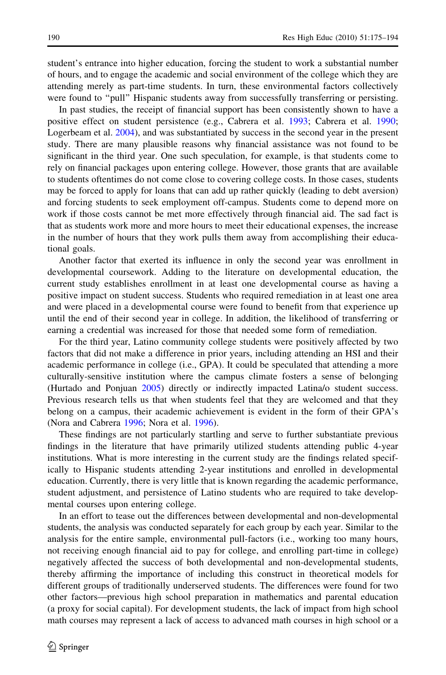student's entrance into higher education, forcing the student to work a substantial number of hours, and to engage the academic and social environment of the college which they are attending merely as part-time students. In turn, these environmental factors collectively were found to ''pull'' Hispanic students away from successfully transferring or persisting.

In past studies, the receipt of financial support has been consistently shown to have a positive effect on student persistence (e.g., Cabrera et al. 1993; Cabrera et al. 1990; Logerbeam et al.  $2004$ ), and was substantiated by success in the second year in the present study. There are many plausible reasons why financial assistance was not found to be significant in the third year. One such speculation, for example, is that students come to rely on financial packages upon entering college. However, those grants that are available to students oftentimes do not come close to covering college costs. In those cases, students may be forced to apply for loans that can add up rather quickly (leading to debt aversion) and forcing students to seek employment off-campus. Students come to depend more on work if those costs cannot be met more effectively through financial aid. The sad fact is that as students work more and more hours to meet their educational expenses, the increase in the number of hours that they work pulls them away from accomplishing their educational goals.

Another factor that exerted its influence in only the second year was enrollment in developmental coursework. Adding to the literature on developmental education, the current study establishes enrollment in at least one developmental course as having a positive impact on student success. Students who required remediation in at least one area and were placed in a developmental course were found to benefit from that experience up until the end of their second year in college. In addition, the likelihood of transferring or earning a credential was increased for those that needed some form of remediation.

For the third year, Latino community college students were positively affected by two factors that did not make a difference in prior years, including attending an HSI and their academic performance in college (i.e., GPA). It could be speculated that attending a more culturally-sensitive institution where the campus climate fosters a sense of belonging (Hurtado and Ponjuan 2005) directly or indirectly impacted Latina/o student success. Previous research tells us that when students feel that they are welcomed and that they belong on a campus, their academic achievement is evident in the form of their GPA's (Nora and Cabrera 1996; Nora et al. 1996).

These findings are not particularly startling and serve to further substantiate previous findings in the literature that have primarily utilized students attending public 4-year institutions. What is more interesting in the current study are the findings related specifically to Hispanic students attending 2-year institutions and enrolled in developmental education. Currently, there is very little that is known regarding the academic performance, student adjustment, and persistence of Latino students who are required to take developmental courses upon entering college.

In an effort to tease out the differences between developmental and non-developmental students, the analysis was conducted separately for each group by each year. Similar to the analysis for the entire sample, environmental pull-factors (i.e., working too many hours, not receiving enough financial aid to pay for college, and enrolling part-time in college) negatively affected the success of both developmental and non-developmental students, thereby affirming the importance of including this construct in theoretical models for different groups of traditionally underserved students. The differences were found for two other factors—previous high school preparation in mathematics and parental education (a proxy for social capital). For development students, the lack of impact from high school math courses may represent a lack of access to advanced math courses in high school or a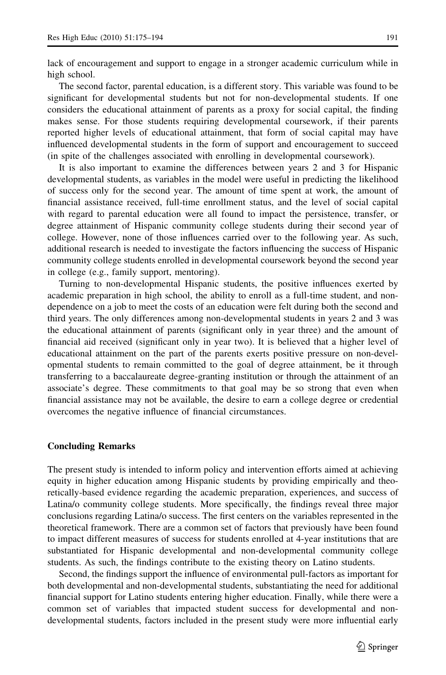lack of encouragement and support to engage in a stronger academic curriculum while in high school.

The second factor, parental education, is a different story. This variable was found to be significant for developmental students but not for non-developmental students. If one considers the educational attainment of parents as a proxy for social capital, the finding makes sense. For those students requiring developmental coursework, if their parents reported higher levels of educational attainment, that form of social capital may have influenced developmental students in the form of support and encouragement to succeed (in spite of the challenges associated with enrolling in developmental coursework).

It is also important to examine the differences between years 2 and 3 for Hispanic developmental students, as variables in the model were useful in predicting the likelihood of success only for the second year. The amount of time spent at work, the amount of financial assistance received, full-time enrollment status, and the level of social capital with regard to parental education were all found to impact the persistence, transfer, or degree attainment of Hispanic community college students during their second year of college. However, none of those influences carried over to the following year. As such, additional research is needed to investigate the factors influencing the success of Hispanic community college students enrolled in developmental coursework beyond the second year in college (e.g., family support, mentoring).

Turning to non-developmental Hispanic students, the positive influences exerted by academic preparation in high school, the ability to enroll as a full-time student, and nondependence on a job to meet the costs of an education were felt during both the second and third years. The only differences among non-developmental students in years 2 and 3 was the educational attainment of parents (significant only in year three) and the amount of financial aid received (significant only in year two). It is believed that a higher level of educational attainment on the part of the parents exerts positive pressure on non-developmental students to remain committed to the goal of degree attainment, be it through transferring to a baccalaureate degree-granting institution or through the attainment of an associate's degree. These commitments to that goal may be so strong that even when financial assistance may not be available, the desire to earn a college degree or credential overcomes the negative influence of financial circumstances.

# Concluding Remarks

The present study is intended to inform policy and intervention efforts aimed at achieving equity in higher education among Hispanic students by providing empirically and theoretically-based evidence regarding the academic preparation, experiences, and success of Latina/o community college students. More specifically, the findings reveal three major conclusions regarding Latina/o success. The first centers on the variables represented in the theoretical framework. There are a common set of factors that previously have been found to impact different measures of success for students enrolled at 4-year institutions that are substantiated for Hispanic developmental and non-developmental community college students. As such, the findings contribute to the existing theory on Latino students.

Second, the findings support the influence of environmental pull-factors as important for both developmental and non-developmental students, substantiating the need for additional financial support for Latino students entering higher education. Finally, while there were a common set of variables that impacted student success for developmental and nondevelopmental students, factors included in the present study were more influential early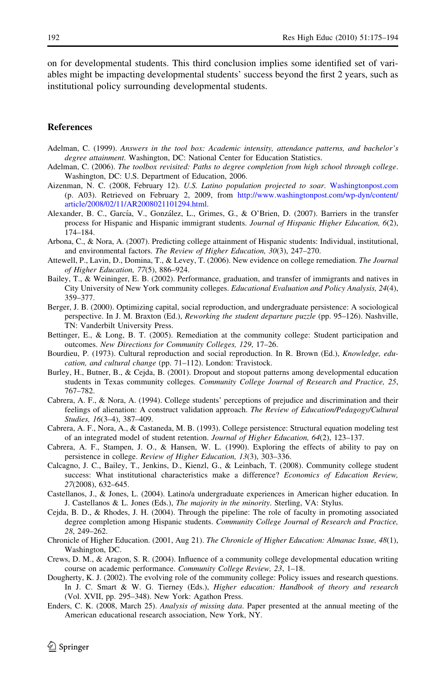on for developmental students. This third conclusion implies some identified set of variables might be impacting developmental students' success beyond the first 2 years, such as institutional policy surrounding developmental students.

# **References**

- Adelman, C. (1999). Answers in the tool box: Academic intensity, attendance patterns, and bachelor's degree attainment. Washington, DC: National Center for Education Statistics.
- Adelman, C. (2006). The toolbox revisited: Paths to degree completion from high school through college. Washington, DC: U.S. Department of Education, 2006.
- Aizenman, N. C. (2008, February 12). U.S. Latino population projected to soar. [Washingtonpost.com](http://Washingtonpost.com) (p. A03). Retrieved on February 2, 2009, from [http://www.washingtonpost.com/wp-dyn/content/](http://www.washingtonpost.com/wp-dyn/content/article/2008/02/11/AR2008021101294.html) [article/2008/02/11/AR2008021101294.html.](http://www.washingtonpost.com/wp-dyn/content/article/2008/02/11/AR2008021101294.html)
- Alexander, B. C., García, V., González, L., Grimes, G., & O'Brien, D. (2007). Barriers in the transfer process for Hispanic and Hispanic immigrant students. Journal of Hispanic Higher Education, 6(2), 174–184.
- Arbona, C., & Nora, A. (2007). Predicting college attainment of Hispanic students: Individual, institutional, and environmental factors. The Review of Higher Education, 30(3), 247–270.
- Attewell, P., Lavin, D., Domina, T., & Levey, T. (2006). New evidence on college remediation. The Journal of Higher Education, 77(5), 886–924.
- Bailey, T., & Weininger, E. B. (2002). Performance, graduation, and transfer of immigrants and natives in City University of New York community colleges. Educational Evaluation and Policy Analysis, 24(4), 359–377.
- Berger, J. B. (2000). Optimizing capital, social reproduction, and undergraduate persistence: A sociological perspective. In J. M. Braxton (Ed.), Reworking the student departure puzzle (pp. 95–126). Nashville, TN: Vanderbilt University Press.
- Bettinger, E., & Long, B. T. (2005). Remediation at the community college: Student participation and outcomes. New Directions for Community Colleges, 129, 17–26.
- Bourdieu, P. (1973). Cultural reproduction and social reproduction. In R. Brown (Ed.), Knowledge, education, and cultural change (pp. 71–112). London: Travistock.
- Burley, H., Butner, B., & Cejda, B. (2001). Dropout and stopout patterns among developmental education students in Texas community colleges. Community College Journal of Research and Practice, 25, 767–782.
- Cabrera, A. F., & Nora, A. (1994). College students' perceptions of prejudice and discrimination and their feelings of alienation: A construct validation approach. The Review of Education/Pedagogy/Cultural Studies, 16(3–4), 387–409.
- Cabrera, A. F., Nora, A., & Castaneda, M. B. (1993). College persistence: Structural equation modeling test of an integrated model of student retention. Journal of Higher Education, 64(2), 123–137.
- Cabrera, A. F., Stampen, J. O., & Hansen, W. L. (1990). Exploring the effects of ability to pay on persistence in college. Review of Higher Education, 13(3), 303–336.
- Calcagno, J. C., Bailey, T., Jenkins, D., Kienzl, G., & Leinbach, T. (2008). Community college student success: What institutional characteristics make a difference? Economics of Education Review, 27(2008), 632–645.
- Castellanos, J., & Jones, L. (2004). Latino/a undergraduate experiences in American higher education. In J. Castellanos & L. Jones (Eds.), The majority in the minority. Sterling, VA: Stylus.
- Cejda, B. D., & Rhodes, J. H. (2004). Through the pipeline: The role of faculty in promoting associated degree completion among Hispanic students. Community College Journal of Research and Practice, 28, 249–262.
- Chronicle of Higher Education. (2001, Aug 21). The Chronicle of Higher Education: Almanac Issue, 48(1), Washington, DC.
- Crews, D. M., & Aragon, S. R. (2004). Influence of a community college developmental education writing course on academic performance. Community College Review, 23, 1–18.
- Dougherty, K. J. (2002). The evolving role of the community college: Policy issues and research questions. In J. C. Smart & W. G. Tierney (Eds.), Higher education: Handbook of theory and research (Vol. XVII, pp. 295–348). New York: Agathon Press.
- Enders, C. K. (2008, March 25). Analysis of missing data. Paper presented at the annual meeting of the American educational research association, New York, NY.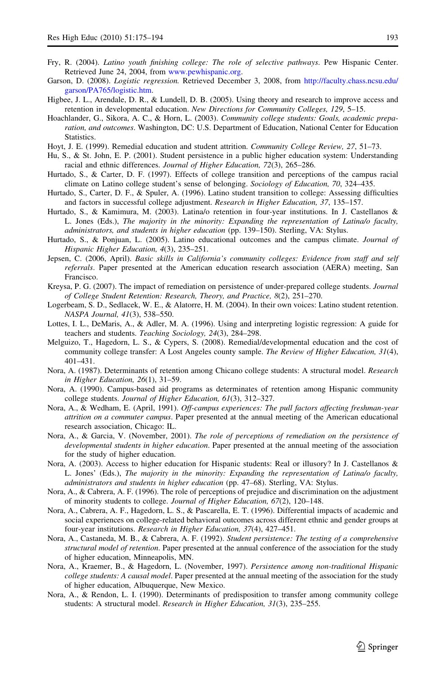- Fry, R. (2004). Latino youth finishing college: The role of selective pathways. Pew Hispanic Center. Retrieved June 24, 2004, from [www.pewhispanic.org](http://www.pewhispanic.org).
- Garson, D. (2008). Logistic regression. Retrieved December 3, 2008, from [http://faculty.chass.ncsu.edu/](http://faculty.chass.ncsu.edu/garson/PA765/logistic.htm) [garson/PA765/logistic.htm](http://faculty.chass.ncsu.edu/garson/PA765/logistic.htm).
- Higbee, J. L., Arendale, D. R., & Lundell, D. B. (2005). Using theory and research to improve access and retention in developmental education. New Directions for Community Colleges, 129, 5–15.
- Hoachlander, G., Sikora, A. C., & Horn, L. (2003). Community college students: Goals, academic preparation, and outcomes. Washington, DC: U.S. Department of Education, National Center for Education **Statistics**
- Hoyt, J. E. (1999). Remedial education and student attrition. Community College Review, 27, 51–73.
- Hu, S., & St. John, E. P. (2001). Student persistence in a public higher education system: Understanding racial and ethnic differences. Journal of Higher Education, 72(3), 265–286.
- Hurtado, S., & Carter, D. F. (1997). Effects of college transition and perceptions of the campus racial climate on Latino college student's sense of belonging. Sociology of Education, 70, 324–435.
- Hurtado, S., Carter, D. F., & Spuler, A. (1996). Latino student transition to college: Assessing difficulties and factors in successful college adjustment. Research in Higher Education, 37, 135–157.
- Hurtado, S., & Kamimura, M. (2003). Latina/o retention in four-year institutions. In J. Castellanos & L. Jones (Eds.), The majority in the minority: Expanding the representation of Latina/o faculty, administrators, and students in higher education (pp. 139–150). Sterling, VA: Stylus.
- Hurtado, S., & Ponjuan, L. (2005). Latino educational outcomes and the campus climate. *Journal of* Hispanic Higher Education, 4(3), 235–251.
- Jepsen, C. (2006, April). Basic skills in California's community colleges: Evidence from staff and self referrals. Paper presented at the American education research association (AERA) meeting, San Francisco.
- Kreysa, P. G. (2007). The impact of remediation on persistence of under-prepared college students. *Journal* of College Student Retention: Research, Theory, and Practice, 8(2), 251–270.
- Logerbeam, S. D., Sedlacek, W. E., & Alatorre, H. M. (2004). In their own voices: Latino student retention. NASPA Journal, 41(3), 538–550.
- Lottes, I. L., DeMaris, A., & Adler, M. A. (1996). Using and interpreting logistic regression: A guide for teachers and students. Teaching Sociology, 24(3), 284–298.
- Melguizo, T., Hagedorn, L. S., & Cypers, S. (2008). Remedial/developmental education and the cost of community college transfer: A Lost Angeles county sample. The Review of Higher Education, 31(4), 401–431.
- Nora, A. (1987). Determinants of retention among Chicano college students: A structural model. Research in Higher Education, 26(1), 31–59.
- Nora, A. (1990). Campus-based aid programs as determinates of retention among Hispanic community college students. Journal of Higher Education, 61(3), 312–327.
- Nora, A., & Wedham, E. (April, 1991). Off-campus experiences: The pull factors affecting freshman-year attrition on a commuter campus. Paper presented at the annual meeting of the American educational research association, Chicago: IL.
- Nora, A., & Garcia, V. (November, 2001). The role of perceptions of remediation on the persistence of developmental students in higher education. Paper presented at the annual meeting of the association for the study of higher education.
- Nora, A. (2003). Access to higher education for Hispanic students: Real or illusory? In J. Castellanos & L. Jones' (Eds.), The majority in the minority: Expanding the representation of Latina/o faculty, administrators and students in higher education (pp. 47–68). Sterling, VA: Stylus.
- Nora, A., & Cabrera, A. F. (1996). The role of perceptions of prejudice and discrimination on the adjustment of minority students to college. Journal of Higher Education, 67(2), 120–148.
- Nora, A., Cabrera, A. F., Hagedorn, L. S., & Pascarella, E. T. (1996). Differential impacts of academic and social experiences on college-related behavioral outcomes across different ethnic and gender groups at four-year institutions. Research in Higher Education, 37(4), 427–451.
- Nora, A., Castaneda, M. B., & Cabrera, A. F. (1992). Student persistence: The testing of a comprehensive structural model of retention. Paper presented at the annual conference of the association for the study of higher education, Minneapolis, MN.
- Nora, A., Kraemer, B., & Hagedorn, L. (November, 1997). Persistence among non-traditional Hispanic college students: A causal model. Paper presented at the annual meeting of the association for the study of higher education, Albuquerque, New Mexico.
- Nora, A., & Rendon, L. I. (1990). Determinants of predisposition to transfer among community college students: A structural model. Research in Higher Education, 31(3), 235–255.